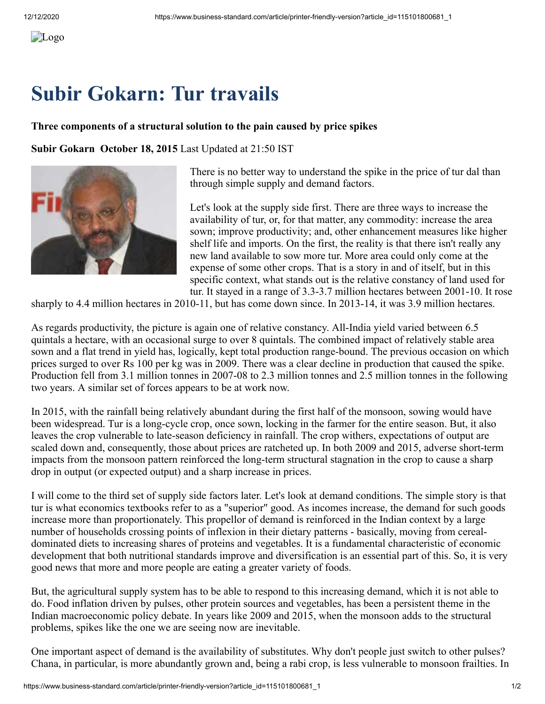## **Subir Gokarn: Tur travails**

## **Three components of a structural solution to the pain caused by price spikes**

**Subir Gokarn October 18, 2015** Last Updated at 21:50 IST



There is no better way to understand the spike in the price of tur dal than through simple supply and demand factors.

Let's look at the supply side first. There are three ways to increase the availability of tur, or, for that matter, any commodity: increase the area sown; improve productivity; and, other enhancement measures like higher shelf life and imports. On the first, the reality is that there isn't really any new land available to sow more tur. More area could only come at the expense of some other crops. That is a story in and of itself, but in this specific context, what stands out is the relative constancy of land used for tur. It stayed in a range of 3.3-3.7 million hectares between 2001-10. It rose

sharply to 4.4 million hectares in 2010-11, but has come down since. In 2013-14, it was 3.9 million hectares.

As regards productivity, the picture is again one of relative constancy. All-India yield varied between 6.5 quintals a hectare, with an occasional surge to over 8 quintals. The combined impact of relatively stable area sown and a flat trend in yield has, logically, kept total production range-bound. The previous occasion on which prices surged to over Rs 100 per kg was in 2009. There was a clear decline in production that caused the spike. Production fell from 3.1 million tonnes in 2007-08 to 2.3 million tonnes and 2.5 million tonnes in the following two years. A similar set of forces appears to be at work now.

In 2015, with the rainfall being relatively abundant during the first half of the monsoon, sowing would have been widespread. Tur is a long-cycle crop, once sown, locking in the farmer for the entire season. But, it also leaves the crop vulnerable to late-season deficiency in rainfall. The crop withers, expectations of output are scaled down and, consequently, those about prices are ratcheted up. In both 2009 and 2015, adverse short-term impacts from the monsoon pattern reinforced the long-term structural stagnation in the crop to cause a sharp drop in output (or expected output) and a sharp increase in prices.

I will come to the third set of supply side factors later. Let's look at demand conditions. The simple story is that tur is what economics textbooks refer to as a "superior" good. As incomes increase, the demand for such goods increase more than proportionately. This propellor of demand is reinforced in the Indian context by a large number of households crossing points of inflexion in their dietary patterns - basically, moving from cerealdominated diets to increasing shares of proteins and vegetables. It is a fundamental characteristic of economic development that both nutritional standards improve and diversification is an essential part of this. So, it is very good news that more and more people are eating a greater variety of foods.

But, the agricultural supply system has to be able to respond to this increasing demand, which it is not able to do. Food inflation driven by pulses, other protein sources and vegetables, has been a persistent theme in the Indian macroeconomic policy debate. In years like 2009 and 2015, when the monsoon adds to the structural problems, spikes like the one we are seeing now are inevitable.

One important aspect of demand is the availability of substitutes. Why don't people just switch to other pulses? Chana, in particular, is more abundantly grown and, being a rabi crop, is less vulnerable to monsoon frailties. In